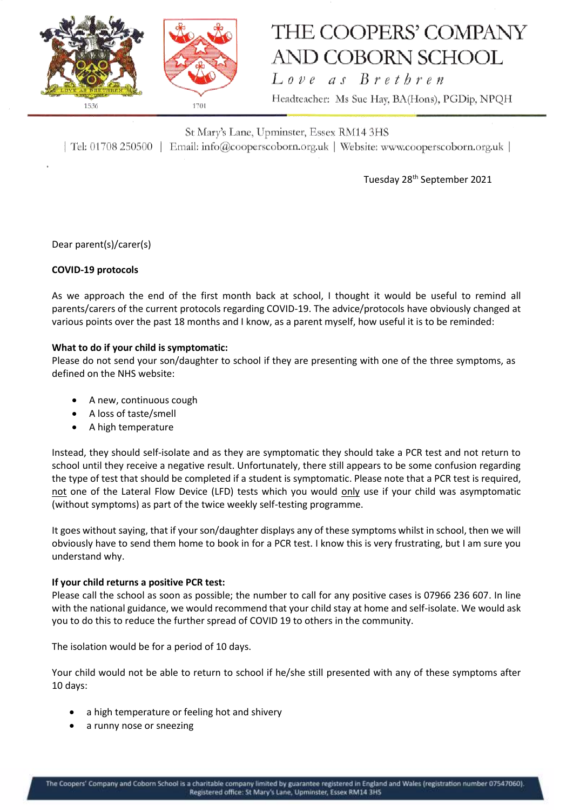

# THE COOPERS' COMPANY **AND COBORN SCHOOL**

Love as Brethren Headteacher: Ms Sue Hay, BA(Hons), PGDip, NPQH

St Mary's Lane, Upminster, Essex RM14 3HS | Tel: 01708 250500 | Email: info@cooperscoborn.org.uk | Website: www.cooperscoborn.org.uk |

Tuesday 28th September 2021

Dear parent(s)/carer(s)

### **COVID-19 protocols**

As we approach the end of the first month back at school, I thought it would be useful to remind all parents/carers of the current protocols regarding COVID-19. The advice/protocols have obviously changed at various points over the past 18 months and I know, as a parent myself, how useful it is to be reminded:

### **What to do if your child is symptomatic:**

Please do not send your son/daughter to school if they are presenting with one of the three symptoms, as defined on the NHS website:

- A new, continuous cough
- A loss of taste/smell
- A high temperature

Instead, they should self-isolate and as they are symptomatic they should take a PCR test and not return to school until they receive a negative result. Unfortunately, there still appears to be some confusion regarding the type of test that should be completed if a student is symptomatic. Please note that a PCR test is required, not one of the Lateral Flow Device (LFD) tests which you would only use if your child was asymptomatic (without symptoms) as part of the twice weekly self-testing programme.

It goes without saying, that if your son/daughter displays any of these symptoms whilst in school, then we will obviously have to send them home to book in for a PCR test. I know this is very frustrating, but I am sure you understand why.

#### **If your child returns a positive PCR test:**

Please call the school as soon as possible; the number to call for any positive cases is 07966 236 607. In line with the national guidance, we would recommend that your child stay at home and self-isolate. We would ask you to do this to reduce the further spread of COVID 19 to others in the community.

The isolation would be for a period of 10 days.

Your child would not be able to return to school if he/she still presented with any of these symptoms after 10 days:

- a high temperature or feeling hot and shivery
- a runny nose or sneezing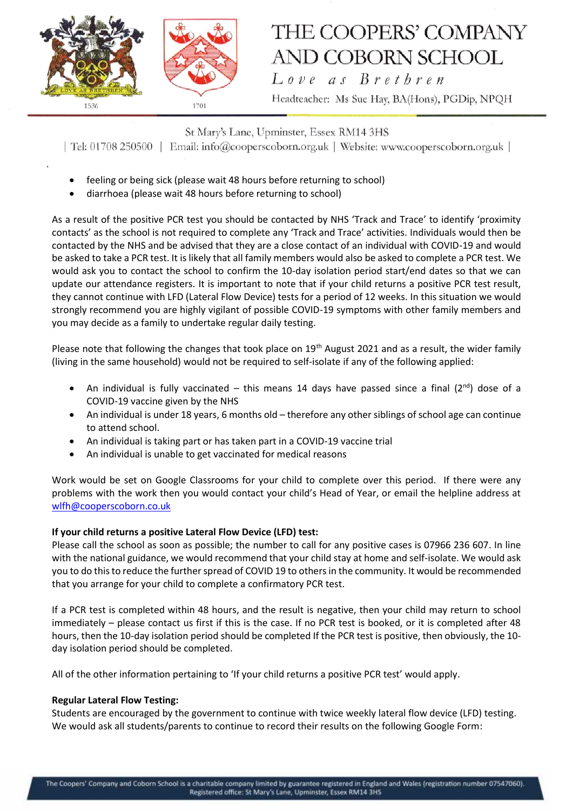

## THE COOPERS' COMPANY **AND COBORN SCHOOL** Love as Brethren

Headteacher: Ms Sue Hay, BA(Hons), PGDip, NPQH

St Mary's Lane, Upminster, Essex RM14 3HS | Tel: 01708 250500 | Email: info@cooperscoborn.org.uk | Website: www.cooperscoborn.org.uk |

- feeling or being sick (please wait 48 hours before returning to school)
- diarrhoea (please wait 48 hours before returning to school)

As a result of the positive PCR test you should be contacted by NHS 'Track and Trace' to identify 'proximity contacts' as the school is not required to complete any 'Track and Trace' activities. Individuals would then be contacted by the NHS and be advised that they are a close contact of an individual with COVID-19 and would be asked to take a PCR test. It is likely that all family members would also be asked to complete a PCR test. We would ask you to contact the school to confirm the 10-day isolation period start/end dates so that we can update our attendance registers. It is important to note that if your child returns a positive PCR test result, they cannot continue with LFD (Lateral Flow Device) tests for a period of 12 weeks. In this situation we would strongly recommend you are highly vigilant of possible COVID-19 symptoms with other family members and you may decide as a family to undertake regular daily testing.

Please note that following the changes that took place on 19<sup>th</sup> August 2021 and as a result, the wider family (living in the same household) would not be required to self-isolate if any of the following applied:

- An individual is fully vaccinated this means 14 days have passed since a final ( $2<sup>nd</sup>$ ) dose of a COVID-19 vaccine given by the NHS
- An individual is under 18 years, 6 months old therefore any other siblings of school age can continue to attend school.
- An individual is taking part or has taken part in a COVID-19 vaccine trial
- An individual is unable to get vaccinated for medical reasons

Work would be set on Google Classrooms for your child to complete over this period. If there were any problems with the work then you would contact your child's Head of Year, or email the helpline address at [wlfh@cooperscoborn.co.uk](mailto:wlfh@cooperscoborn.co.uk)

### **If your child returns a positive Lateral Flow Device (LFD) test:**

Please call the school as soon as possible; the number to call for any positive cases is 07966 236 607. In line with the national guidance, we would recommend that your child stay at home and self-isolate. We would ask you to do this to reduce the further spread of COVID 19 to others in the community. It would be recommended that you arrange for your child to complete a confirmatory PCR test.

If a PCR test is completed within 48 hours, and the result is negative, then your child may return to school immediately – please contact us first if this is the case. If no PCR test is booked, or it is completed after 48 hours, then the 10-day isolation period should be completed If the PCR test is positive, then obviously, the 10 day isolation period should be completed.

All of the other information pertaining to 'If your child returns a positive PCR test' would apply.

### **Regular Lateral Flow Testing:**

Students are encouraged by the government to continue with twice weekly lateral flow device (LFD) testing. We would ask all students/parents to continue to record their results on the following Google Form: